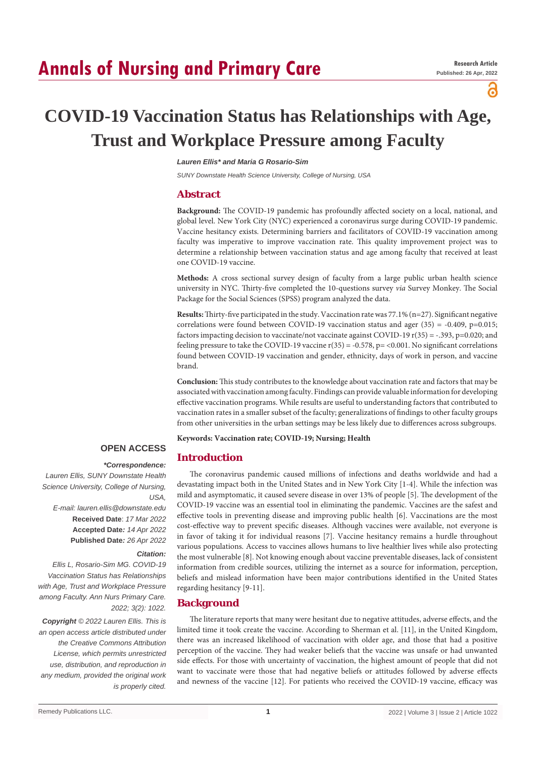പ

# **COVID-19 Vaccination Status has Relationships with Age, Trust and Workplace Pressure among Faculty**

#### *Lauren Ellis\* and Maria G Rosario-Sim*

*SUNY Downstate Health Science University, College of Nursing, USA*

### **Abstract**

**Background:** The COVID-19 pandemic has profoundly affected society on a local, national, and global level. New York City (NYC) experienced a coronavirus surge during COVID-19 pandemic. Vaccine hesitancy exists. Determining barriers and facilitators of COVID-19 vaccination among faculty was imperative to improve vaccination rate. This quality improvement project was to determine a relationship between vaccination status and age among faculty that received at least one COVID-19 vaccine.

**Methods:** A cross sectional survey design of faculty from a large public urban health science university in NYC. Thirty-five completed the 10-questions survey *via* Survey Monkey. The Social Package for the Social Sciences (SPSS) program analyzed the data.

**Results:** Thirty-five participated in the study. Vaccination rate was 77.1% (n=27). Significant negative correlations were found between COVID-19 vaccination status and ager  $(35) = -0.409$ , p=0.015; factors impacting decision to vaccinate/not vaccinate against COVID-19  $r(35) = -.393$ ,  $p=0.020$ ; and feeling pressure to take the COVID-19 vaccine  $r(35) = -0.578$ , p= <0.001. No significant correlations found between COVID-19 vaccination and gender, ethnicity, days of work in person, and vaccine brand.

**Conclusion:** This study contributes to the knowledge about vaccination rate and factors that may be associated with vaccination among faculty. Findings can provide valuable information for developing effective vaccination programs. While results are useful to understanding factors that contributed to vaccination rates in a smaller subset of the faculty; generalizations of findings to other faculty groups from other universities in the urban settings may be less likely due to differences across subgroups.

**Keywords: Vaccination rate; COVID-19; Nursing; Health**

#### **OPEN ACCESS Introduction**

## *\*Correspondence:*

*Lauren Ellis, SUNY Downstate Health Science University, College of Nursing, USA, E-mail: lauren.ellis@downstate.edu* **Received Date**: *17 Mar 2022* **Accepted Date***: 14 Apr 2022* **Published Date***: 26 Apr 2022*

#### *Citation:*

*Ellis L, Rosario-Sim MG. COVID-19 Vaccination Status has Relationships with Age, Trust and Workplace Pressure among Faculty. Ann Nurs Primary Care. 2022; 3(2): 1022.*

*Copyright © 2022 Lauren Ellis. This is an open access article distributed under the Creative Commons Attribution License, which permits unrestricted use, distribution, and reproduction in any medium, provided the original work is properly cited.*

The coronavirus pandemic caused millions of infections and deaths worldwide and had a devastating impact both in the United States and in New York City [1-4]. While the infection was mild and asymptomatic, it caused severe disease in over 13% of people [5]. The development of the COVID-19 vaccine was an essential tool in eliminating the pandemic. Vaccines are the safest and effective tools in preventing disease and improving public health [6]. Vaccinations are the most cost-effective way to prevent specific diseases. Although vaccines were available, not everyone is in favor of taking it for individual reasons [7]. Vaccine hesitancy remains a hurdle throughout various populations. Access to vaccines allows humans to live healthier lives while also protecting the most vulnerable [8]. Not knowing enough about vaccine preventable diseases, lack of consistent information from credible sources, utilizing the internet as a source for information, perception, beliefs and mislead information have been major contributions identified in the United States regarding hesitancy [9-11].

#### **Background**

The literature reports that many were hesitant due to negative attitudes, adverse effects, and the limited time it took create the vaccine. According to Sherman et al. [11], in the United Kingdom, there was an increased likelihood of vaccination with older age, and those that had a positive perception of the vaccine. They had weaker beliefs that the vaccine was unsafe or had unwanted side effects. For those with uncertainty of vaccination, the highest amount of people that did not want to vaccinate were those that had negative beliefs or attitudes followed by adverse effects and newness of the vaccine [12]. For patients who received the COVID-19 vaccine, efficacy was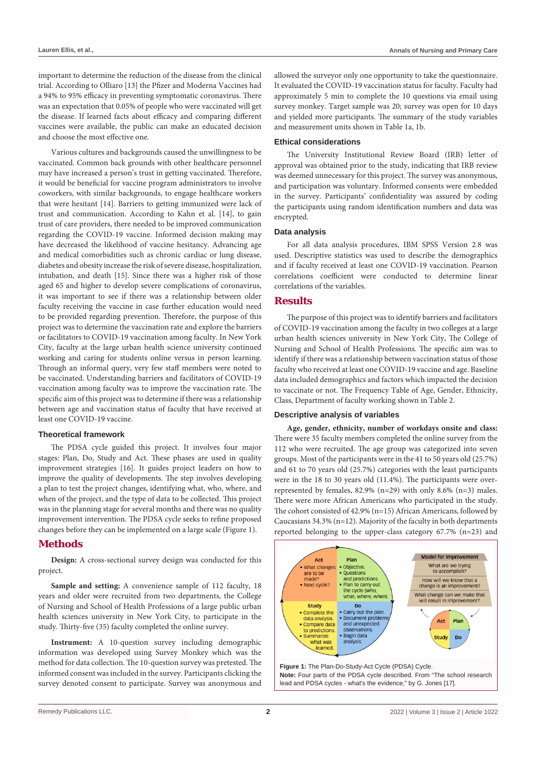important to determine the reduction of the disease from the clinical trial. According to Olliaro [13] the Pfizer and Moderna Vaccines had a 94% to 95% efficacy in preventing symptomatic coronavirus. There was an expectation that 0.05% of people who were vaccinated will get the disease. If learned facts about efficacy and comparing different vaccines were available, the public can make an educated decision and choose the most effective one.

Various cultures and backgrounds caused the unwillingness to be vaccinated. Common back grounds with other healthcare personnel may have increased a person's trust in getting vaccinated. Therefore, it would be beneficial for vaccine program administrators to involve coworkers, with similar backgrounds, to engage healthcare workers that were hesitant [14]. Barriers to getting immunized were lack of trust and communication. According to Kahn et al. [14], to gain trust of care providers, there needed to be improved communication regarding the COVID-19 vaccine. Informed decision making may have decreased the likelihood of vaccine hesitancy. Advancing age and medical comorbidities such as chronic cardiac or lung disease, diabetes and obesity increase the risk of severe disease, hospitalization, intubation, and death [15]. Since there was a higher risk of those aged 65 and higher to develop severe complications of coronavirus, it was important to see if there was a relationship between older faculty receiving the vaccine in case further education would need to be provided regarding prevention. Therefore, the purpose of this project was to determine the vaccination rate and explore the barriers or facilitators to COVID-19 vaccination among faculty. In New York City, faculty at the large urban health science university continued working and caring for students online versus in person learning. Through an informal query, very few staff members were noted to be vaccinated. Understanding barriers and facilitators of COVID-19 vaccination among faculty was to improve the vaccination rate. The specific aim of this project was to determine if there was a relationship between age and vaccination status of faculty that have received at least one COVID-19 vaccine.

#### **Theoretical framework**

The PDSA cycle guided this project. It involves four major stages: Plan, Do, Study and Act. These phases are used in quality improvement strategies [16]. It guides project leaders on how to improve the quality of developments. The step involves developing a plan to test the project changes, identifying what, who, where, and when of the project, and the type of data to be collected. This project was in the planning stage for several months and there was no quality improvement intervention. The PDSA cycle seeks to refine proposed changes before they can be implemented on a large scale (Figure 1).

### **Methods**

**Design:** A cross-sectional survey design was conducted for this project.

Sample and setting: A convenience sample of 112 faculty, 18 years and older were recruited from two departments, the College of Nursing and School of Health Professions of a large public urban health sciences university in New York City, to participate in the study. Thirty-five (35) faculty completed the online survey.

**Instrument:** A 10-question survey including demographic information was developed using Survey Monkey which was the method for data collection. The 10-question survey was pretested. The informed consent was included in the survey. Participants clicking the survey denoted consent to participate. Survey was anonymous and allowed the surveyor only one opportunity to take the questionnaire. It evaluated the COVID-19 vaccination status for faculty. Faculty had approximately 5 min to complete the 10 questions via email using survey monkey. Target sample was 20; survey was open for 10 days and yielded more participants. The summary of the study variables and measurement units shown in Table 1a, 1b.

#### **Ethical considerations**

The University Institutional Review Board (IRB) letter of approval was obtained prior to the study, indicating that IRB review was deemed unnecessary for this project. The survey was anonymous, and participation was voluntary. Informed consents were embedded in the survey. Participants' confidentiality was assured by coding the participants using random identification numbers and data was encrypted.

#### **Data analysis**

For all data analysis procedures, IBM SPSS Version 2.8 was used. Descriptive statistics was used to describe the demographics and if faculty received at least one COVID-19 vaccination. Pearson correlations coefficient were conducted to determine linear correlations of the variables.

### **Results**

The purpose of this project was to identify barriers and facilitators of COVID-19 vaccination among the faculty in two colleges at a large urban health sciences university in New York City, The College of Nursing and School of Health Professions. The specific aim was to identify if there was a relationship between vaccination status of those faculty who received at least one COVID-19 vaccine and age. Baseline data included demographics and factors which impacted the decision to vaccinate or not. The Frequency Table of Age, Gender, Ethnicity, Class, Department of faculty working shown in Table 2.

#### **Descriptive analysis of variables**

**Age, gender, ethnicity, number of workdays onsite and class:** There were 35 faculty members completed the online survey from the 112 who were recruited. The age group was categorized into seven groups. Most of the participants were in the 41 to 50 years old (25.7%) and 61 to 70 years old (25.7%) categories with the least participants were in the 18 to 30 years old (11.4%). The participants were overrepresented by females,  $82.9\%$  (n=29) with only  $8.6\%$  (n=3) males. There were more African Americans who participated in the study. The cohort consisted of 42.9% (n=15) African Americans, followed by Caucasians 34.3% (n=12). Majority of the faculty in both departments reported belonging to the upper-class category 67.7% (n=23) and

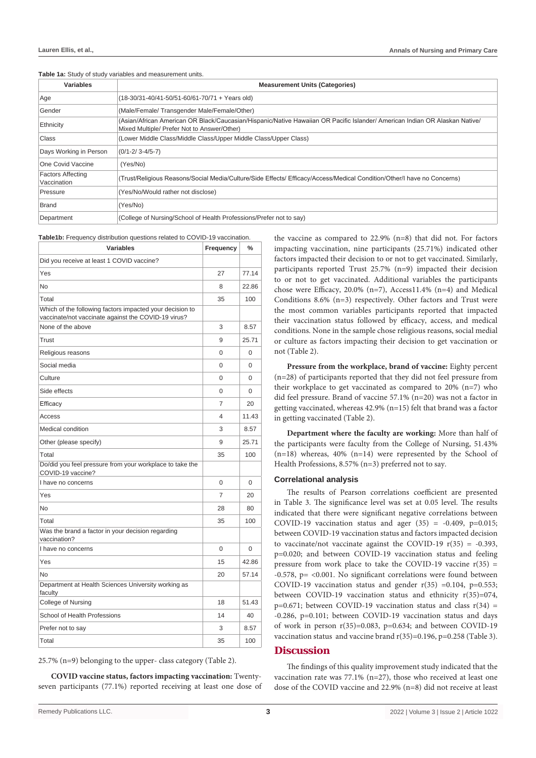| <b>Variables</b>                        | <b>Measurement Units (Categories)</b>                                                                                                                                      |
|-----------------------------------------|----------------------------------------------------------------------------------------------------------------------------------------------------------------------------|
| Age                                     | (18-30/31-40/41-50/51-60/61-70/71 + Years old)                                                                                                                             |
| Gender                                  | (Male/Female/ Transgender Male/Female/Other)                                                                                                                               |
| Ethnicity                               | (Asian/African American OR Black/Caucasian/Hispanic/Native Hawaiian OR Pacific Islander/ American Indian OR Alaskan Native/<br>Mixed Multiple/ Prefer Not to Answer/Other) |
| Class                                   | (Lower Middle Class/Middle Class/Upper Middle Class/Upper Class)                                                                                                           |
| Days Working in Person                  | $(0/1 - 2/3 - 4/5 - 7)$                                                                                                                                                    |
| One Covid Vaccine                       | (Yes/No)                                                                                                                                                                   |
| <b>Factors Affecting</b><br>Vaccination | (Trust/Religious Reasons/Social Media/Culture/Side Effects/ Efficacy/Access/Medical Condition/Other/I have no Concerns)                                                    |
| Pressure                                | (Yes/No/Would rather not disclose)                                                                                                                                         |
| <b>Brand</b>                            | (Yes/No)                                                                                                                                                                   |
| Department                              | (College of Nursing/School of Health Professions/Prefer not to say)                                                                                                        |

**Table 1a:** Study of study variables and measurement units.

**Table1b:** Frequency distribution questions related to COVID-19 vaccination.

| <b>Variables</b>                                                                                                | Frequency | $\frac{0}{0}$ |
|-----------------------------------------------------------------------------------------------------------------|-----------|---------------|
| Did you receive at least 1 COVID vaccine?                                                                       |           |               |
| Yes                                                                                                             | 27        | 77.14         |
| No                                                                                                              | 8         | 22.86         |
| Total                                                                                                           | 35        | 100           |
| Which of the following factors impacted your decision to<br>vaccinate/not vaccinate against the COVID-19 virus? |           |               |
| None of the above                                                                                               | 3         | 8.57          |
| Trust                                                                                                           | 9         | 25.71         |
| Religious reasons                                                                                               | 0         | 0             |
| Social media                                                                                                    | $\Omega$  | 0             |
| Culture                                                                                                         | 0         | 0             |
| Side effects                                                                                                    | 0         | 0             |
| Efficacy                                                                                                        | 7         | 20            |
| Access                                                                                                          | 4         | 11.43         |
| Medical condition                                                                                               | 3         | 8.57          |
| Other (please specify)                                                                                          | 9         | 25.71         |
| Total                                                                                                           | 35        | 100           |
| Do/did you feel pressure from your workplace to take the<br>COVID-19 vaccine?                                   |           |               |
| I have no concerns                                                                                              | 0         | 0             |
| Yes                                                                                                             | 7         | 20            |
| <b>No</b>                                                                                                       | 28        | 80            |
| Total                                                                                                           | 35        | 100           |
| Was the brand a factor in your decision regarding<br>vaccination?                                               |           |               |
| I have no concerns                                                                                              | 0         | 0             |
| Yes                                                                                                             | 15        | 42.86         |
| No                                                                                                              | 20        | 57.14         |
| Department at Health Sciences University working as<br>faculty                                                  |           |               |
| College of Nursing                                                                                              | 18        | 51.43         |
| School of Health Professions                                                                                    | 14        | 40            |
| Prefer not to say                                                                                               | 3         | 8.57          |
| Total                                                                                                           | 35        | 100           |

25.7% (n=9) belonging to the upper- class category (Table 2).

**COVID vaccine status, factors impacting vaccination:** Twentyseven participants (77.1%) reported receiving at least one dose of

the vaccine as compared to 22.9% (n=8) that did not. For factors impacting vaccination, nine participants (25.71%) indicated other factors impacted their decision to or not to get vaccinated. Similarly, participants reported Trust 25.7% (n=9) impacted their decision to or not to get vaccinated. Additional variables the participants chose were Efficacy, 20.0% (n=7), Access11.4% (n=4) and Medical Conditions 8.6% (n=3) respectively. Other factors and Trust were the most common variables participants reported that impacted their vaccination status followed by efficacy, access, and medical conditions. None in the sample chose religious reasons, social medial or culture as factors impacting their decision to get vaccination or not (Table 2).

Pressure from the workplace, brand of vaccine: Eighty percent (n=28) of participants reported that they did not feel pressure from their workplace to get vaccinated as compared to 20% (n=7) who did feel pressure. Brand of vaccine 57.1% (n=20) was not a factor in getting vaccinated, whereas 42.9% (n=15) felt that brand was a factor in getting vaccinated (Table 2).

**Department where the faculty are working:** More than half of the participants were faculty from the College of Nursing, 51.43%  $(n=18)$  whereas, 40%  $(n=14)$  were represented by the School of Health Professions, 8.57% (n=3) preferred not to say.

#### **Correlational analysis**

The results of Pearson correlations coefficient are presented in Table 3. The significance level was set at 0.05 level. The results indicated that there were significant negative correlations between COVID-19 vaccination status and ager  $(35) = -0.409$ ,  $p=0.015$ ; between COVID-19 vaccination status and factors impacted decision to vaccinate/not vaccinate against the COVID-19  $r(35) = -0.393$ , p=0.020; and between COVID-19 vaccination status and feeling pressure from work place to take the COVID-19 vaccine  $r(35)$  = -0.578, p= <0.001. No significant correlations were found between COVID-19 vaccination status and gender  $r(35) = 0.104$ , p=0.553; between COVID-19 vaccination status and ethnicity r(35)=074,  $p=0.671$ ; between COVID-19 vaccination status and class  $r(34) =$ -0.286, p=0.101; between COVID-19 vaccination status and days of work in person  $r(35)=0.083$ ,  $p=0.634$ ; and between COVID-19 vaccination status and vaccine brand r(35)=0.196, p=0.258 (Table 3).

#### **Discussion**

The findings of this quality improvement study indicated that the vaccination rate was 77.1% (n=27), those who received at least one dose of the COVID vaccine and 22.9% (n=8) did not receive at least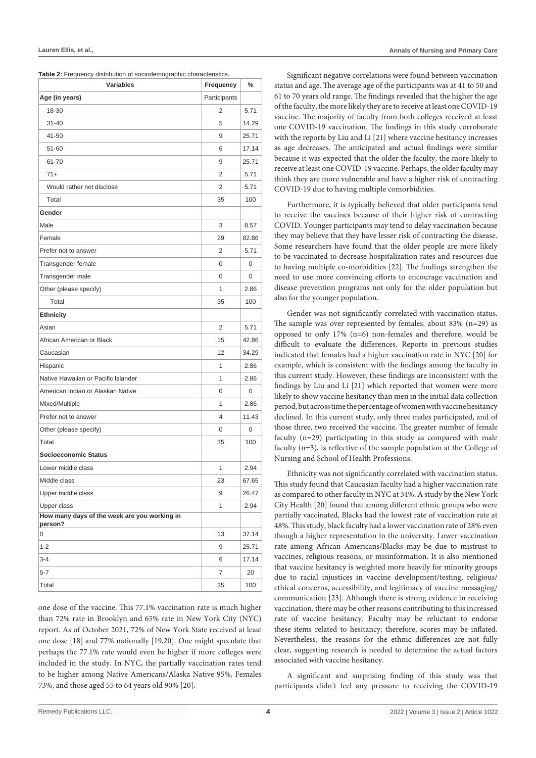| Lauren Ellis, et al., | <b>Annals of Nursing and Primary Care</b> |
|-----------------------|-------------------------------------------|
|-----------------------|-------------------------------------------|

| Table 2: Frequency distribution of sociodemographic characteristics. |  |
|----------------------------------------------------------------------|--|
|----------------------------------------------------------------------|--|

| <b>Variables</b>                                        | Frequency    | %     |
|---------------------------------------------------------|--------------|-------|
| Age (in years)                                          | Participants |       |
| 18-30                                                   | 2            | 5.71  |
| $31 - 40$                                               | 5            | 14.29 |
| 41-50                                                   | 9            | 25.71 |
| 51-60                                                   | 6            | 17.14 |
| 61-70                                                   | 9            | 25.71 |
| $71+$                                                   | 2            | 5.71  |
| Would rather not disclose                               | 2            | 5.71  |
| Total                                                   | 35           | 100   |
| Gender                                                  |              |       |
| Male                                                    | 3            | 8.57  |
| Female                                                  | 29           | 82.86 |
| Prefer not to answer                                    | 2            | 5.71  |
| Transgender female                                      | 0            | 0     |
| Transgender male                                        | 0            | 0     |
| Other (please specify)                                  | 1            | 2.86  |
| Total                                                   | 35           | 100   |
| <b>Ethnicity</b>                                        |              |       |
| Asian                                                   | 2            | 5.71  |
| African American or Black                               | 15           | 42.86 |
| Caucasian                                               | 12           | 34.29 |
| Hispanic                                                | $\mathbf{1}$ | 2.86  |
| Native Hawaiian or Pacific Islander                     | 1            | 2.86  |
| American Indian or Alaskan Native                       | 0            | 0     |
| Mixed/Multiple                                          | 1            | 2.86  |
| Prefer not to answer                                    | 4            | 11.43 |
| Other (please specify)                                  | 0            | 0     |
| Total                                                   | 35           | 100   |
| Socioeconomic Status                                    |              |       |
| Lower middle class                                      | 1            | 2.94  |
| Middle class                                            | 23           | 67.65 |
| Upper middle class                                      | 9            | 26.47 |
| Upper class                                             | $\mathbf{1}$ | 2.94  |
| How many days of the week are you working in<br>person? |              |       |
| 0                                                       | 13           | 37.14 |
| $1 - 2$                                                 | 9            | 25.71 |
| $3 - 4$                                                 | 6            | 17.14 |
| 5-7                                                     | 7            | 20    |
| Total                                                   | 35           | 100   |

one dose of the vaccine. This 77.1% vaccination rate is much higher than 72% rate in Brooklyn and 65% rate in New York City (NYC) report. As of October 2021, 72% of New York State received at least one dose [18] and 77% nationally [19,20]. One might speculate that perhaps the 77.1% rate would even be higher if more colleges were included in the study. In NYC, the partially vaccination rates tend to be higher among Native Americans/Alaska Native 95%, Females 73%, and those aged 55 to 64 years old 90% [20].

Significant negative correlations were found between vaccination status and age. The average age of the participants was at 41 to 50 and 61 to 70 years old range. The findings revealed that the higher the age of the faculty, the more likely they are to receive at least one COVID-19 vaccine. The majority of faculty from both colleges received at least one COVID-19 vaccination. The findings in this study corroborate with the reports by Liu and Li [21] where vaccine hesitancy increases as age decreases. The anticipated and actual findings were similar because it was expected that the older the faculty, the more likely to receive at least one COVID-19 vaccine. Perhaps, the older faculty may think they are more vulnerable and have a higher risk of contracting COVID-19 due to having multiple comorbidities.

Furthermore, it is typically believed that older participants tend to receive the vaccines because of their higher risk of contracting COVID. Younger participants may tend to delay vaccination because they may believe that they have lesser risk of contracting the disease. Some researchers have found that the older people are more likely to be vaccinated to decrease hospitalization rates and resources due to having multiple co-morbidities [22]. The findings strengthen the need to use more convincing efforts to encourage vaccination and disease prevention programs not only for the older population but also for the younger population.

Gender was not significantly correlated with vaccination status. The sample was over represented by females, about 83% (n=29) as opposed to only 17% (n=6) non-females and therefore, would be difficult to evaluate the differences. Reports in previous studies indicated that females had a higher vaccination rate in NYC [20] for example, which is consistent with the findings among the faculty in this current study. However, these findings are inconsistent with the findings by Liu and Li [21] which reported that women were more likely to show vaccine hesitancy than men in the initial data collection period, but across time the percentage of women with vaccine hesitancy declined. In this current study, only three males participated, and of those three, two received the vaccine. The greater number of female faculty (n=29) participating in this study as compared with male faculty (n=3), is reflective of the sample population at the College of Nursing and School of Health Professions.

Ethnicity was not significantly correlated with vaccination status. This study found that Caucasian faculty had a higher vaccination rate as compared to other faculty in NYC at 34%. A study by the New York City Health [20] found that among different ethnic groups who were partially vaccinated, Blacks had the lowest rate of vaccination rate at 48%. This study, black faculty had a lower vaccination rate of 28% even though a higher representation in the university. Lower vaccination rate among African Americans/Blacks may be due to mistrust to vaccines, religious reasons, or misinformation. It is also mentioned that vaccine hesitancy is weighted more heavily for minority groups due to racial injustices in vaccine development/testing, religious/ ethical concerns, accessibility, and legitimacy of vaccine messaging/ communication [23]. Although there is strong evidence in receiving vaccination, there may be other reasons contributing to this increased rate of vaccine hesitancy. Faculty may be reluctant to endorse these items related to hesitancy; therefore, scores may be inflated. Nevertheless, the reasons for the ethnic differences are not fully clear, suggesting research is needed to determine the actual factors associated with vaccine hesitancy.

A significant and surprising finding of this study was that participants didn't feel any pressure to receiving the COVID-19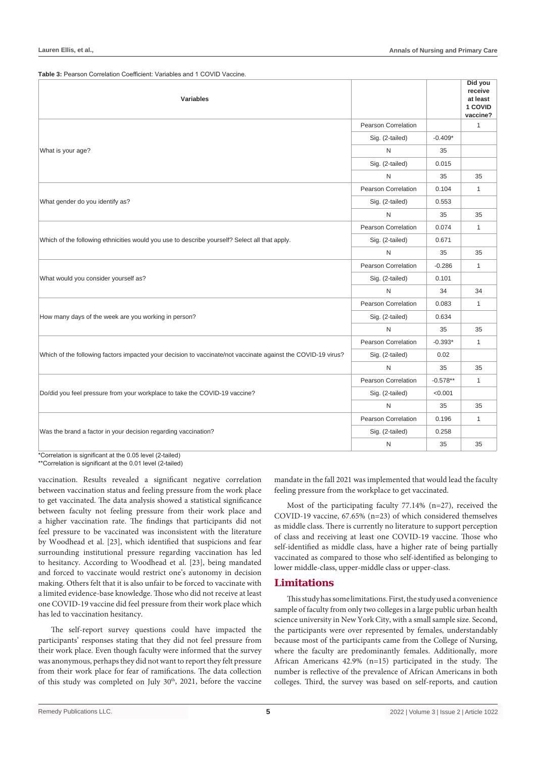Table 3: Pearson Correlation Coefficient: Variables and 1 COVID Vaccine

| <b>Variables</b>                                                                                             |                     |            | Did you<br>receive<br>at least<br>1 COVID<br>vaccine? |
|--------------------------------------------------------------------------------------------------------------|---------------------|------------|-------------------------------------------------------|
|                                                                                                              | Pearson Correlation |            | 1                                                     |
|                                                                                                              | Sig. (2-tailed)     | $-0.409*$  |                                                       |
| What is your age?                                                                                            | $\mathsf{N}$        | 35         |                                                       |
|                                                                                                              | Sig. (2-tailed)     | 0.015      |                                                       |
|                                                                                                              | N                   | 35         | 35                                                    |
|                                                                                                              | Pearson Correlation | 0.104      | $\mathbf{1}$                                          |
| What gender do you identify as?                                                                              | Sig. (2-tailed)     | 0.553      |                                                       |
|                                                                                                              | N                   | 35         | 35                                                    |
|                                                                                                              | Pearson Correlation | 0.074      | $\mathbf{1}$                                          |
| Which of the following ethnicities would you use to describe yourself? Select all that apply.                | Sig. (2-tailed)     | 0.671      |                                                       |
|                                                                                                              | N                   | 35         | 35                                                    |
|                                                                                                              | Pearson Correlation | $-0.286$   | $\mathbf{1}$                                          |
| What would you consider yourself as?                                                                         | Sig. (2-tailed)     | 0.101      |                                                       |
|                                                                                                              | N                   | 34         | 34                                                    |
|                                                                                                              | Pearson Correlation | 0.083      | $\mathbf{1}$                                          |
| How many days of the week are you working in person?                                                         | Sig. (2-tailed)     | 0.634      |                                                       |
|                                                                                                              | N                   | 35         | 35                                                    |
|                                                                                                              | Pearson Correlation | $-0.393*$  | $\mathbf{1}$                                          |
| Which of the following factors impacted your decision to vaccinate/not vaccinate against the COVID-19 virus? | Sig. (2-tailed)     | 0.02       |                                                       |
|                                                                                                              | N                   | 35         | 35                                                    |
|                                                                                                              | Pearson Correlation | $-0.578**$ | $\mathbf{1}$                                          |
| Do/did you feel pressure from your workplace to take the COVID-19 vaccine?                                   | Sig. (2-tailed)     | < 0.001    |                                                       |
|                                                                                                              | N                   | 35         | 35                                                    |
|                                                                                                              | Pearson Correlation | 0.196      | $\mathbf{1}$                                          |
| Was the brand a factor in your decision regarding vaccination?                                               | Sig. (2-tailed)     | 0.258      |                                                       |
|                                                                                                              | N                   | 35         | 35                                                    |

\*Correlation is significant at the 0.05 level (2-tailed) \*\*Correlation is significant at the 0.01 level (2-tailed)

vaccination. Results revealed a significant negative correlation between vaccination status and feeling pressure from the work place to get vaccinated. The data analysis showed a statistical significance between faculty not feeling pressure from their work place and a higher vaccination rate. The findings that participants did not feel pressure to be vaccinated was inconsistent with the literature by Woodhead et al. [23], which identified that suspicions and fear surrounding institutional pressure regarding vaccination has led to hesitancy. According to Woodhead et al. [23], being mandated and forced to vaccinate would restrict one's autonomy in decision making. Others felt that it is also unfair to be forced to vaccinate with a limited evidence-base knowledge. Those who did not receive at least one COVID-19 vaccine did feel pressure from their work place which has led to vaccination hesitancy.

The self-report survey questions could have impacted the participants' responses stating that they did not feel pressure from their work place. Even though faculty were informed that the survey was anonymous, perhaps they did not want to report they felt pressure from their work place for fear of ramifications. The data collection of this study was completed on July 30<sup>th</sup>, 2021, before the vaccine mandate in the fall 2021 was implemented that would lead the faculty feeling pressure from the workplace to get vaccinated.

Most of the participating faculty 77.14% (n=27), received the COVID-19 vaccine, 67.65% (n=23) of which considered themselves as middle class. There is currently no literature to support perception of class and receiving at least one COVID-19 vaccine. Those who self-identified as middle class, have a higher rate of being partially vaccinated as compared to those who self-identified as belonging to lower middle-class, upper-middle class or upper-class.

### **Limitations**

This study has some limitations. First, the study used a convenience sample of faculty from only two colleges in a large public urban health science university in New York City, with a small sample size. Second, the participants were over represented by females, understandably because most of the participants came from the College of Nursing, where the faculty are predominantly females. Additionally, more African Americans 42.9% (n=15) participated in the study. The number is reflective of the prevalence of African Americans in both colleges. Third, the survey was based on self-reports, and caution